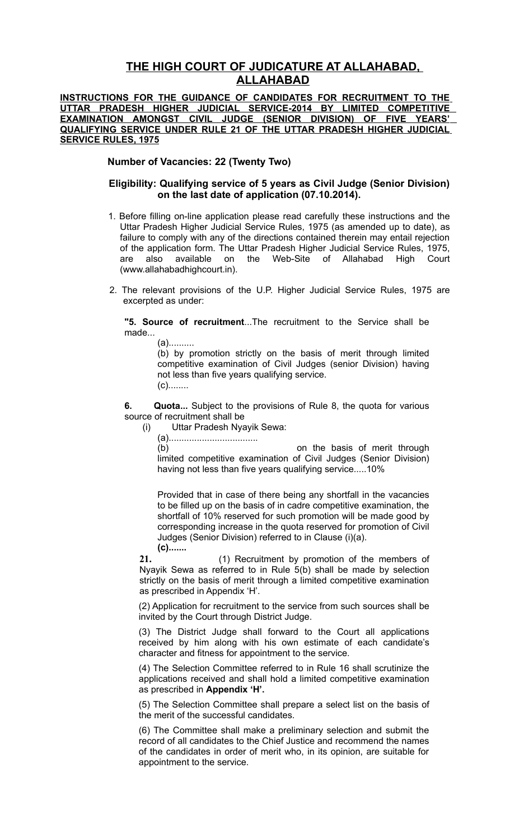## **THE HIGH COURT OF JUDICATURE AT ALLAHABAD, ALLAHABAD**

**INSTRUCTIONS FOR THE GUIDANCE OF CANDIDATES FOR RECRUITMENT TO THE UTTAR PRADESH HIGHER JUDICIAL SERVICE-2014 BY LIMITED COMPETITIVE EXAMINATION AMONGST CIVIL JUDGE (SENIOR DIVISION) OF FIVE YEARS' QUALIFYING SERVICE UNDER RULE 21 OF THE UTTAR PRADESH HIGHER JUDICIAL SERVICE RULES, 1975**

**Number of Vacancies: 22 (Twenty Two)**

## **Eligibility: Qualifying service of 5 years as Civil Judge (Senior Division) on the last date of application (07.10.2014).**

- 1. Before filling on-line application please read carefully these instructions and the Uttar Pradesh Higher Judicial Service Rules, 1975 (as amended up to date), as failure to comply with any of the directions contained therein may entail rejection of the application form. The Uttar Pradesh Higher Judicial Service Rules, 1975, are also available on the Web-Site of Allahabad High Court (www.allahabadhighcourt.in).
- 2. The relevant provisions of the U.P. Higher Judicial Service Rules, 1975 are excerpted as under:

**"5. Source of recruitment**...The recruitment to the Service shall be made...

(a)..........

(b) by promotion strictly on the basis of merit through limited competitive examination of Civil Judges (senior Division) having not less than five years qualifying service. (c)........

**6. Quota...** Subject to the provisions of Rule 8, the quota for various source of recruitment shall be

(i) Uttar Pradesh Nyayik Sewa:

(b) on the basis of merit through limited competitive examination of Civil Judges (Senior Division) having not less than five years qualifying service.....10%

Provided that in case of there being any shortfall in the vacancies to be filled up on the basis of in cadre competitive examination, the shortfall of 10% reserved for such promotion will be made good by corresponding increase in the quota reserved for promotion of Civil Judges (Senior Division) referred to in Clause (i)(a).

**(c).......**

**21.** (1) Recruitment by promotion of the members of Nyayik Sewa as referred to in Rule 5(b) shall be made by selection strictly on the basis of merit through a limited competitive examination as prescribed in Appendix 'H'.

(2) Application for recruitment to the service from such sources shall be invited by the Court through District Judge.

(3) The District Judge shall forward to the Court all applications received by him along with his own estimate of each candidate's character and fitness for appointment to the service.

(4) The Selection Committee referred to in Rule 16 shall scrutinize the applications received and shall hold a limited competitive examination as prescribed in **Appendix 'H'.**

(5) The Selection Committee shall prepare a select list on the basis of the merit of the successful candidates.

(6) The Committee shall make a preliminary selection and submit the record of all candidates to the Chief Justice and recommend the names of the candidates in order of merit who, in its opinion, are suitable for appointment to the service.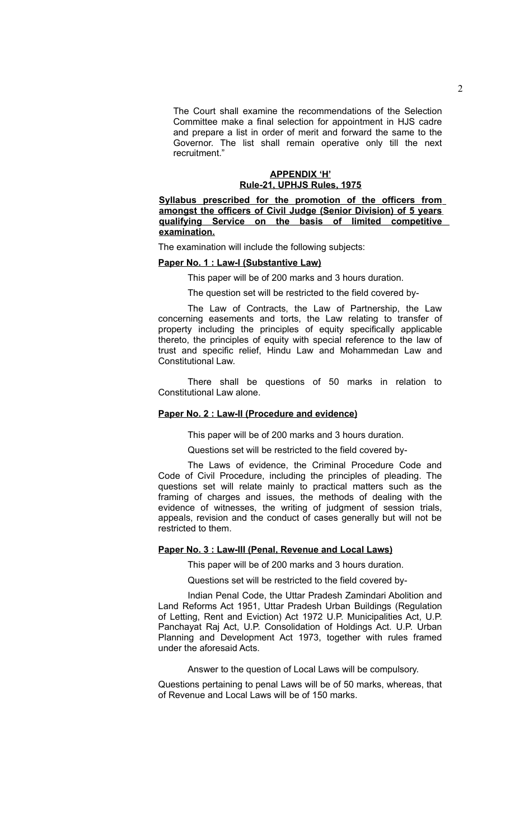The Court shall examine the recommendations of the Selection Committee make a final selection for appointment in HJS cadre and prepare a list in order of merit and forward the same to the Governor. The list shall remain operative only till the next recruitment."

#### **APPENDIX 'H' Rule-21, UPHJS Rules, 1975**

**Syllabus prescribed for the promotion of the officers from amongst the officers of Civil Judge (Senior Division) of 5 years qualifying Service on the basis of limited competitive examination.**

The examination will include the following subjects:

#### **Paper No. 1 : Law-I (Substantive Law)**

This paper will be of 200 marks and 3 hours duration.

The question set will be restricted to the field covered by-

The Law of Contracts, the Law of Partnership, the Law concerning easements and torts, the Law relating to transfer of property including the principles of equity specifically applicable thereto, the principles of equity with special reference to the law of trust and specific relief, Hindu Law and Mohammedan Law and Constitutional Law.

There shall be questions of 50 marks in relation to Constitutional Law alone.

#### **Paper No. 2 : Law-II (Procedure and evidence)**

This paper will be of 200 marks and 3 hours duration.

Questions set will be restricted to the field covered by-

The Laws of evidence, the Criminal Procedure Code and Code of Civil Procedure, including the principles of pleading. The questions set will relate mainly to practical matters such as the framing of charges and issues, the methods of dealing with the evidence of witnesses, the writing of judgment of session trials, appeals, revision and the conduct of cases generally but will not be restricted to them.

### **Paper No. 3 : Law-III (Penal, Revenue and Local Laws)**

This paper will be of 200 marks and 3 hours duration.

Questions set will be restricted to the field covered by-

Indian Penal Code, the Uttar Pradesh Zamindari Abolition and Land Reforms Act 1951, Uttar Pradesh Urban Buildings (Regulation of Letting, Rent and Eviction) Act 1972 U.P. Municipalities Act, U.P. Panchayat Raj Act, U.P. Consolidation of Holdings Act. U.P. Urban Planning and Development Act 1973, together with rules framed under the aforesaid Acts.

Answer to the question of Local Laws will be compulsory.

Questions pertaining to penal Laws will be of 50 marks, whereas, that of Revenue and Local Laws will be of 150 marks.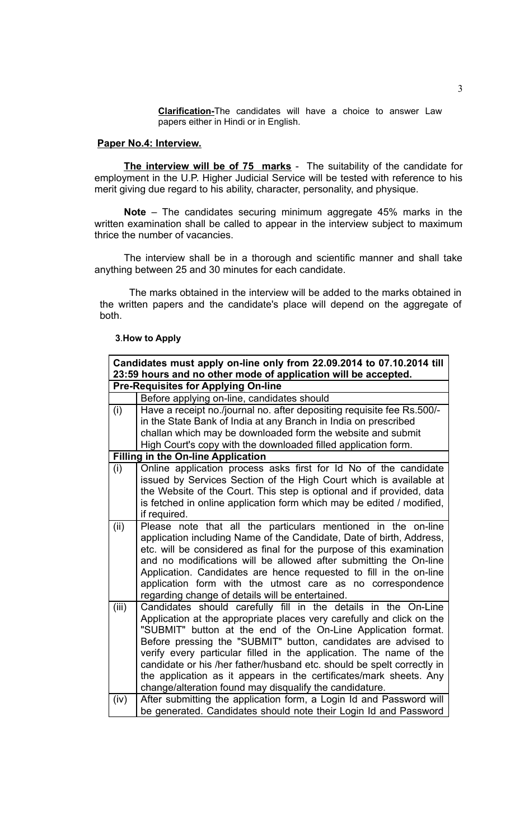**Clarification-**The candidates will have a choice to answer Law papers either in Hindi or in English.

## **Paper No.4: Interview.**

**The interview will be of 75 marks** - The suitability of the candidate for employment in the U.P. Higher Judicial Service will be tested with reference to his merit giving due regard to his ability, character, personality, and physique.

**Note** – The candidates securing minimum aggregate 45% marks in the written examination shall be called to appear in the interview subject to maximum thrice the number of vacancies.

The interview shall be in a thorough and scientific manner and shall take anything between 25 and 30 minutes for each candidate.

The marks obtained in the interview will be added to the marks obtained in the written papers and the candidate's place will depend on the aggregate of both.

#### **3**.**How to Apply**

| Candidates must apply on-line only from 22.09.2014 to 07.10.2014 till<br>23:59 hours and no other mode of application will be accepted. |                                                                                                                                |  |
|-----------------------------------------------------------------------------------------------------------------------------------------|--------------------------------------------------------------------------------------------------------------------------------|--|
| <b>Pre-Requisites for Applying On-line</b>                                                                                              |                                                                                                                                |  |
|                                                                                                                                         | Before applying on-line, candidates should                                                                                     |  |
| (i)                                                                                                                                     | Have a receipt no./journal no. after depositing requisite fee Rs.500/-                                                         |  |
|                                                                                                                                         | in the State Bank of India at any Branch in India on prescribed                                                                |  |
|                                                                                                                                         | challan which may be downloaded form the website and submit                                                                    |  |
|                                                                                                                                         | High Court's copy with the downloaded filled application form.                                                                 |  |
| <b>Filling in the On-line Application</b>                                                                                               |                                                                                                                                |  |
| (i)                                                                                                                                     | Online application process asks first for Id No of the candidate                                                               |  |
|                                                                                                                                         | issued by Services Section of the High Court which is available at                                                             |  |
|                                                                                                                                         | the Website of the Court. This step is optional and if provided, data                                                          |  |
|                                                                                                                                         | is fetched in online application form which may be edited / modified,                                                          |  |
|                                                                                                                                         | if required.                                                                                                                   |  |
| (ii)                                                                                                                                    | Please note that all the particulars mentioned in the on-line                                                                  |  |
|                                                                                                                                         | application including Name of the Candidate, Date of birth, Address,                                                           |  |
|                                                                                                                                         | etc. will be considered as final for the purpose of this examination                                                           |  |
|                                                                                                                                         | and no modifications will be allowed after submitting the On-line                                                              |  |
|                                                                                                                                         | Application. Candidates are hence requested to fill in the on-line                                                             |  |
|                                                                                                                                         | application form with the utmost care as no correspondence                                                                     |  |
|                                                                                                                                         | regarding change of details will be entertained.                                                                               |  |
| (iii)                                                                                                                                   | Candidates should carefully fill in the details in the On-Line                                                                 |  |
|                                                                                                                                         | Application at the appropriate places very carefully and click on the                                                          |  |
|                                                                                                                                         | "SUBMIT" button at the end of the On-Line Application format.                                                                  |  |
|                                                                                                                                         | Before pressing the "SUBMIT" button, candidates are advised to                                                                 |  |
|                                                                                                                                         | verify every particular filled in the application. The name of the                                                             |  |
|                                                                                                                                         | candidate or his /her father/husband etc. should be spelt correctly in                                                         |  |
|                                                                                                                                         | the application as it appears in the certificates/mark sheets. Any                                                             |  |
|                                                                                                                                         | change/alteration found may disqualify the candidature.<br>After submitting the application form, a Login Id and Password will |  |
| (iv)                                                                                                                                    |                                                                                                                                |  |
|                                                                                                                                         | be generated. Candidates should note their Login Id and Password                                                               |  |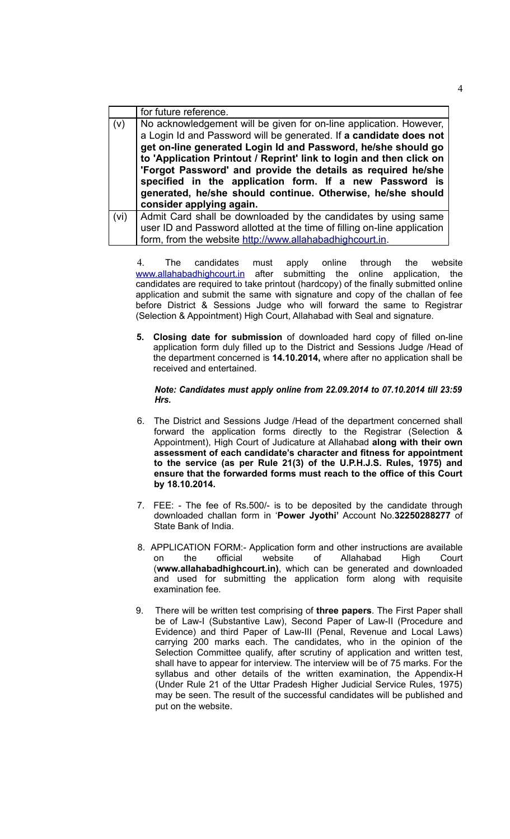|      | for future reference.                                                    |
|------|--------------------------------------------------------------------------|
| (v)  | No acknowledgement will be given for on-line application. However,       |
|      | a Login Id and Password will be generated. If a candidate does not       |
|      | get on-line generated Login Id and Password, he/she should go            |
|      | to 'Application Printout / Reprint' link to login and then click on      |
|      | 'Forgot Password' and provide the details as required he/she             |
|      | specified in the application form. If a new Password is                  |
|      | generated, he/she should continue. Otherwise, he/she should              |
|      | consider applying again.                                                 |
| (vi) | Admit Card shall be downloaded by the candidates by using same           |
|      | user ID and Password allotted at the time of filling on-line application |
|      | form, from the website http://www.allahabadhighcourt.in.                 |

4. The candidates must apply online through the website [www.allahabadhighcourt.in](http://www.allahabadhighcourt.in/) after submitting the online application, the candidates are required to take printout (hardcopy) of the finally submitted online application and submit the same with signature and copy of the challan of fee before District & Sessions Judge who will forward the same to Registrar (Selection & Appointment) High Court, Allahabad with Seal and signature.

**5. Closing date for submission** of downloaded hard copy of filled on-line application form duly filled up to the District and Sessions Judge /Head of the department concerned is **14.10.2014,** where after no application shall be received and entertained.

#### *Note: Candidates must apply online from 22.09.2014 to 07.10.2014 till 23:59 Hrs.*

- 6. The District and Sessions Judge /Head of the department concerned shall forward the application forms directly to the Registrar (Selection & Appointment), High Court of Judicature at Allahabad **along with their own assessment of each candidate's character and fitness for appointment to the service (as per Rule 21(3) of the U.P.H.J.S. Rules, 1975) and ensure that the forwarded forms must reach to the office of this Court by 18.10.2014.**
- 7. FEE: The fee of Rs.500/- is to be deposited by the candidate through downloaded challan form in '**Power Jyothi'** Account No.**32250288277** of State Bank of India.
- 8. APPLICATION FORM:- Application form and other instructions are available on the official website of Allahabad High Court (**www.allahabadhighcourt.in)**, which can be generated and downloaded and used for submitting the application form along with requisite examination fee.
- 9. There will be written test comprising of **three papers**. The First Paper shall be of Law-I (Substantive Law), Second Paper of Law-II (Procedure and Evidence) and third Paper of Law-III (Penal, Revenue and Local Laws) carrying 200 marks each. The candidates, who in the opinion of the Selection Committee qualify, after scrutiny of application and written test, shall have to appear for interview. The interview will be of 75 marks. For the syllabus and other details of the written examination, the Appendix-H (Under Rule 21 of the Uttar Pradesh Higher Judicial Service Rules, 1975) may be seen. The result of the successful candidates will be published and put on the website.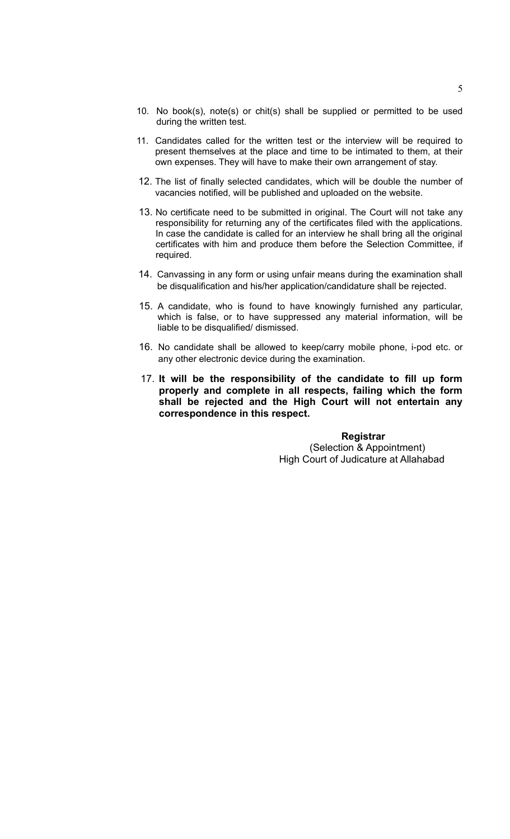- 10. No book(s), note(s) or chit(s) shall be supplied or permitted to be used during the written test.
- 11. Candidates called for the written test or the interview will be required to present themselves at the place and time to be intimated to them, at their own expenses. They will have to make their own arrangement of stay.
- 12. The list of finally selected candidates, which will be double the number of vacancies notified, will be published and uploaded on the website.
- 13. No certificate need to be submitted in original. The Court will not take any responsibility for returning any of the certificates filed with the applications. In case the candidate is called for an interview he shall bring all the original certificates with him and produce them before the Selection Committee, if required.
- 14. Canvassing in any form or using unfair means during the examination shall be disqualification and his/her application/candidature shall be rejected.
- 15. A candidate, who is found to have knowingly furnished any particular, which is false, or to have suppressed any material information, will be liable to be disqualified/ dismissed.
- 16. No candidate shall be allowed to keep/carry mobile phone, i-pod etc. or any other electronic device during the examination.
- 17. **It will be the responsibility of the candidate to fill up form properly and complete in all respects, failing which the form shall be rejected and the High Court will not entertain any correspondence in this respect.**

## **Registrar**  (Selection & Appointment) High Court of Judicature at Allahabad